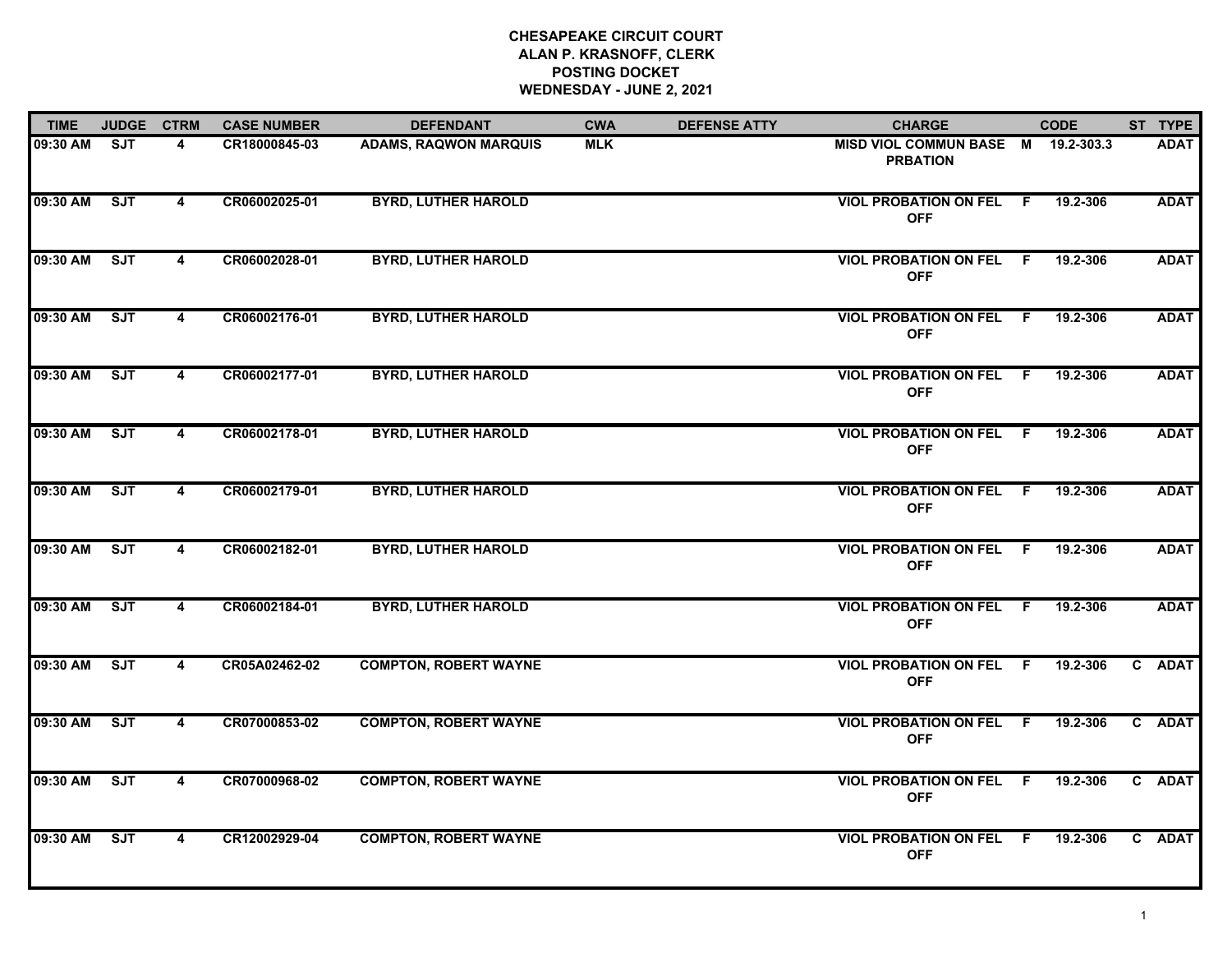## **CHESAPEAKE CIRCUIT COURT ALAN P. KRASNOFF, CLERK POSTING DOCKET WEDNESDAY - JUNE 2, 2021**

| <b>TIME</b> | <b>JUDGE</b> | <b>CTRM</b>             | <b>CASE NUMBER</b> | <b>DEFENDANT</b>             | <b>CWA</b> | <b>DEFENSE ATTY</b> | <b>CHARGE</b>                                     |  | <b>CODE</b> |  | ST TYPE     |
|-------------|--------------|-------------------------|--------------------|------------------------------|------------|---------------------|---------------------------------------------------|--|-------------|--|-------------|
| 09:30 AM    | ST           | 4                       | CR18000845-03      | <b>ADAMS, RAQWON MARQUIS</b> | <b>MLK</b> |                     | <b>MISD VIOL COMMUN BASE M</b><br><b>PRBATION</b> |  | 19.2-303.3  |  | <b>ADAT</b> |
| 09:30 AM    | SJT          | $\overline{\mathbf{4}}$ | CR06002025-01      | <b>BYRD, LUTHER HAROLD</b>   |            |                     | <b>VIOL PROBATION ON FEL F</b><br><b>OFF</b>      |  | 19.2-306    |  | <b>ADAT</b> |
| 09:30 AM    | ST           | $\overline{\mathbf{4}}$ | CR06002028-01      | <b>BYRD, LUTHER HAROLD</b>   |            |                     | <b>VIOL PROBATION ON FEL F</b><br><b>OFF</b>      |  | 19.2-306    |  | <b>ADAT</b> |
| 09:30 AM    | <b>SJT</b>   | 4                       | CR06002176-01      | <b>BYRD, LUTHER HAROLD</b>   |            |                     | <b>VIOL PROBATION ON FEL F</b><br><b>OFF</b>      |  | 19.2-306    |  | <b>ADAT</b> |
| 09:30 AM    | SJT          | $\overline{\mathbf{4}}$ | CR06002177-01      | <b>BYRD, LUTHER HAROLD</b>   |            |                     | <b>VIOL PROBATION ON FEL F</b><br><b>OFF</b>      |  | 19.2-306    |  | <b>ADAT</b> |
| 09:30 AM    | SJT          | $\overline{4}$          | CR06002178-01      | <b>BYRD, LUTHER HAROLD</b>   |            |                     | <b>VIOL PROBATION ON FEL F</b><br><b>OFF</b>      |  | 19.2-306    |  | <b>ADAT</b> |
| 09:30 AM    | ST           | $\overline{4}$          | CR06002179-01      | <b>BYRD, LUTHER HAROLD</b>   |            |                     | <b>VIOL PROBATION ON FEL F</b><br><b>OFF</b>      |  | 19.2-306    |  | <b>ADAT</b> |
| 09:30 AM    | ST           | 4                       | CR06002182-01      | <b>BYRD, LUTHER HAROLD</b>   |            |                     | <b>VIOL PROBATION ON FEL F</b><br><b>OFF</b>      |  | 19.2-306    |  | <b>ADAT</b> |
| 09:30 AM    | ST           | 4                       | CR06002184-01      | <b>BYRD, LUTHER HAROLD</b>   |            |                     | <b>VIOL PROBATION ON FEL F</b><br><b>OFF</b>      |  | 19.2-306    |  | <b>ADAT</b> |
| 09:30 AM    | ST           | 4                       | CR05A02462-02      | <b>COMPTON, ROBERT WAYNE</b> |            |                     | <b>VIOL PROBATION ON FEL F</b><br><b>OFF</b>      |  | 19.2-306    |  | C ADAT      |
| 09:30 AM    | SJT          | $\overline{\mathbf{4}}$ | CR07000853-02      | <b>COMPTON, ROBERT WAYNE</b> |            |                     | <b>VIOL PROBATION ON FEL F</b><br><b>OFF</b>      |  | 19.2-306    |  | C ADAT      |
| 09:30 AM    | SJT          | 4                       | CR07000968-02      | <b>COMPTON, ROBERT WAYNE</b> |            |                     | <b>VIOL PROBATION ON FEL F</b><br><b>OFF</b>      |  | 19.2-306    |  | C ADAT      |
| 09:30 AM    | <b>SJT</b>   | 4                       | CR12002929-04      | <b>COMPTON, ROBERT WAYNE</b> |            |                     | <b>VIOL PROBATION ON FEL F</b><br><b>OFF</b>      |  | 19.2-306    |  | C ADAT      |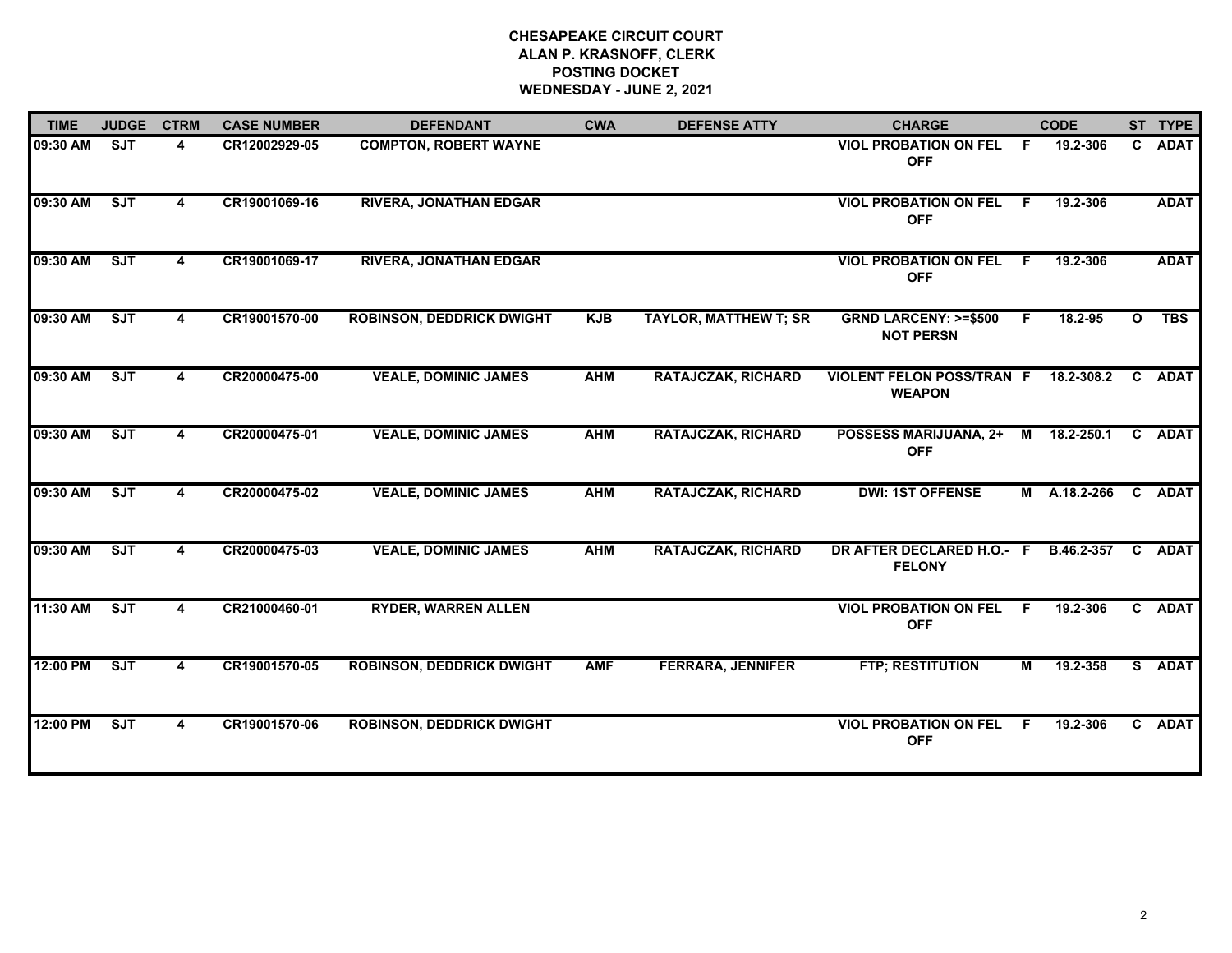## **CHESAPEAKE CIRCUIT COURT ALAN P. KRASNOFF, CLERK POSTING DOCKET WEDNESDAY - JUNE 2, 2021**

| <b>TIME</b> | <b>JUDGE</b> | <b>CTRM</b> | <b>CASE NUMBER</b> | <b>DEFENDANT</b>                 | <b>CWA</b> | <b>DEFENSE ATTY</b>          | <b>CHARGE</b>                                       | <b>CODE</b>    |              |              | ST TYPE     |
|-------------|--------------|-------------|--------------------|----------------------------------|------------|------------------------------|-----------------------------------------------------|----------------|--------------|--------------|-------------|
| 09:30 AM    | <b>SJT</b>   | 4           | CR12002929-05      | <b>COMPTON, ROBERT WAYNE</b>     |            |                              | <b>VIOL PROBATION ON FEL F</b><br><b>OFF</b>        |                | 19.2-306     |              | C ADAT      |
| 09:30 AM    | ST           | 4           | CR19001069-16      | <b>RIVERA, JONATHAN EDGAR</b>    |            |                              | <b>VIOL PROBATION ON FEL</b><br><b>OFF</b>          | F.             | 19.2-306     |              | <b>ADAT</b> |
| 09:30 AM    | ST           | 4           | CR19001069-17      | <b>RIVERA, JONATHAN EDGAR</b>    |            |                              | <b>VIOL PROBATION ON FEL</b><br><b>OFF</b>          | F.             | 19.2-306     |              | <b>ADAT</b> |
| 09:30 AM    | ST           | 4           | CR19001570-00      | <b>ROBINSON, DEDDRICK DWIGHT</b> | <b>KJB</b> | <b>TAYLOR, MATTHEW T; SR</b> | <b>GRND LARCENY: &gt;=\$500</b><br><b>NOT PERSN</b> | F.             | 18.2-95      | $\mathbf{o}$ | <b>TBS</b>  |
| 09:30 AM    | SJT          | 4           | CR20000475-00      | <b>VEALE, DOMINIC JAMES</b>      | <b>AHM</b> | <b>RATAJCZAK, RICHARD</b>    | <b>VIOLENT FELON POSS/TRAN F</b><br><b>WEAPON</b>   |                | 18.2-308.2   |              | C ADAT      |
| 09:30 AM    | ST           | 4           | CR20000475-01      | <b>VEALE, DOMINIC JAMES</b>      | <b>AHM</b> | <b>RATAJCZAK, RICHARD</b>    | <b>POSSESS MARIJUANA, 2+</b><br><b>OFF</b>          |                | M 18.2-250.1 |              | C ADAT      |
| 09:30 AM    | ST           | 4           | CR20000475-02      | <b>VEALE, DOMINIC JAMES</b>      | <b>AHM</b> | <b>RATAJCZAK, RICHARD</b>    | <b>DWI: 1ST OFFENSE</b>                             |                | M A.18.2-266 |              | C ADAT      |
| 09:30 AM    | ST           | 4           | CR20000475-03      | <b>VEALE, DOMINIC JAMES</b>      | <b>AHM</b> | <b>RATAJCZAK, RICHARD</b>    | DR AFTER DECLARED H.O.- F<br><b>FELONY</b>          |                | B.46.2-357   |              | C ADAT      |
| 11:30 AM    | SJT          | 4           | CR21000460-01      | <b>RYDER, WARREN ALLEN</b>       |            |                              | <b>VIOL PROBATION ON FEL</b><br><b>OFF</b>          | - F            | 19.2-306     |              | C ADAT      |
| 12:00 PM    | SJT          | 4           | CR19001570-05      | <b>ROBINSON, DEDDRICK DWIGHT</b> | <b>AMF</b> | <b>FERRARA, JENNIFER</b>     | <b>FTP; RESTITUTION</b>                             | $\overline{M}$ | 19.2-358     |              | S ADAT      |
| 12:00 PM    | ST           | 4           | CR19001570-06      | <b>ROBINSON, DEDDRICK DWIGHT</b> |            |                              | <b>VIOL PROBATION ON FEL F</b><br><b>OFF</b>        |                | 19.2-306     |              | C ADAT      |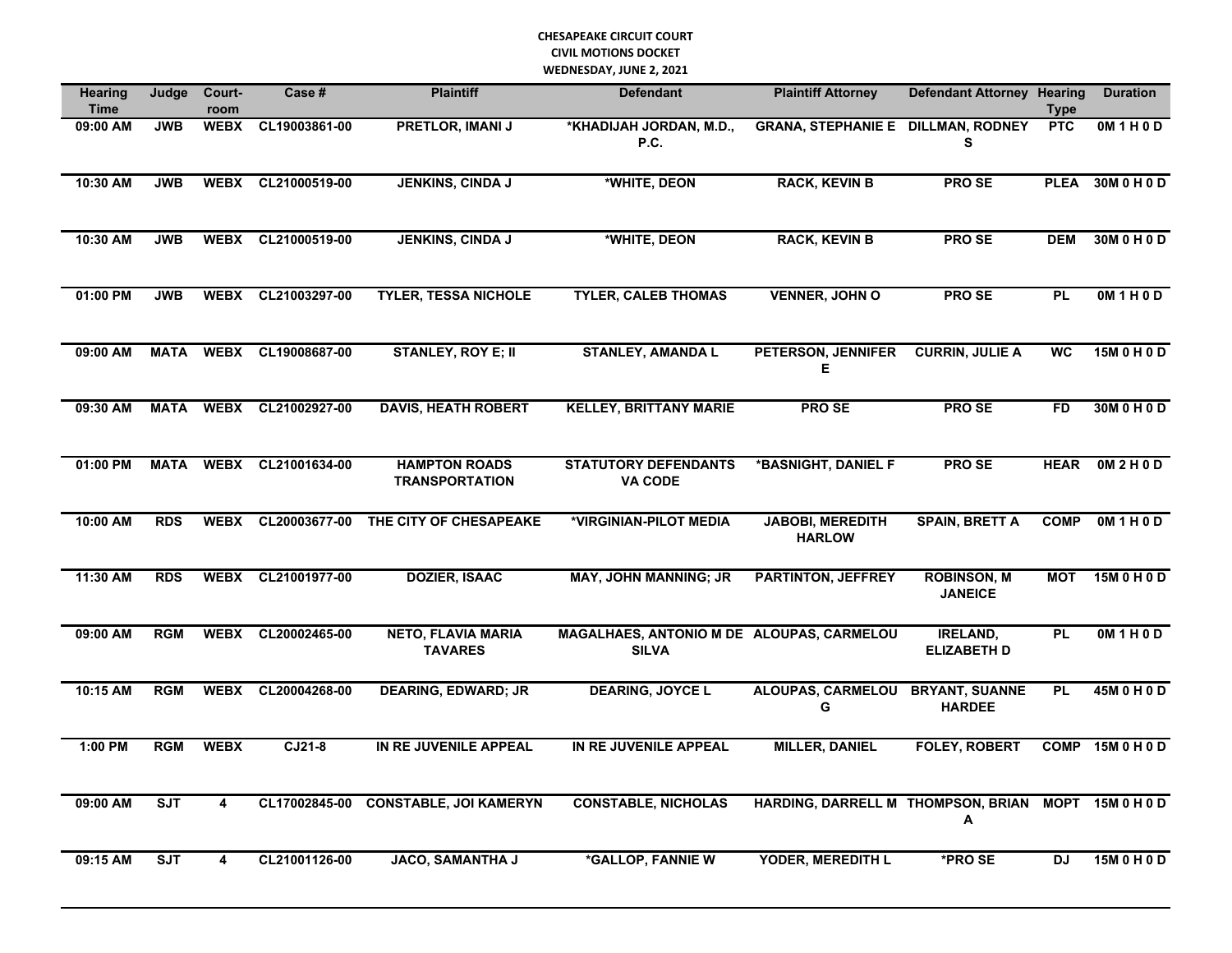## **CHESAPEAKE CIRCUIT COURT CIVIL MOTIONS DOCKET WEDNESDAY, JUNE 2, 2021**

| <b>Hearing</b><br><b>Time</b> | Judge       | Court-<br>room          | Case#                   | <b>Plaintiff</b>                              | <b>Defendant</b>                                          | <b>Plaintiff Attorney</b>                 | <b>Defendant Attorney Hearing</b>      | <b>Type</b> | <b>Duration</b>  |
|-------------------------------|-------------|-------------------------|-------------------------|-----------------------------------------------|-----------------------------------------------------------|-------------------------------------------|----------------------------------------|-------------|------------------|
| 09:00 AM                      | <b>JWB</b>  | <b>WEBX</b>             | CL19003861-00           | <b>PRETLOR, IMANI J</b>                       | *KHADIJAH JORDAN, M.D.,<br>P.C.                           | <b>GRANA, STEPHANIE E DILLMAN, RODNEY</b> | S                                      | PTC         | OM1H0D           |
| 10:30 AM                      | <b>JWB</b>  | <b>WEBX</b>             | CL21000519-00           | <b>JENKINS, CINDA J</b>                       | *WHITE, DEON                                              | <b>RACK, KEVIN B</b>                      | <b>PROSE</b>                           | <b>PLEA</b> | 30M 0 H 0 D      |
| 10:30 AM                      | <b>JWB</b>  | <b>WEBX</b>             | CL21000519-00           | <b>JENKINS, CINDA J</b>                       | *WHITE, DEON                                              | <b>RACK, KEVIN B</b>                      | <b>PROSE</b>                           | <b>DEM</b>  | 30M 0 H 0 D      |
| $01:00$ PM                    | <b>JWB</b>  | <b>WEBX</b>             | CL21003297-00           | <b>TYLER, TESSA NICHOLE</b>                   | <b>TYLER, CALEB THOMAS</b>                                | <b>VENNER, JOHN O</b>                     | <b>PROSE</b>                           | <b>PL</b>   | OM1H0D           |
| 09:00 AM                      |             |                         | MATA WEBX CL19008687-00 | <b>STANLEY, ROY E; II</b>                     | <b>STANLEY, AMANDA L</b>                                  | PETERSON, JENNIFER<br>E                   | <b>CURRIN, JULIE A</b>                 | <b>WC</b>   | 15M 0 H 0 D      |
| 09:30 AM                      | <b>MATA</b> | <b>WEBX</b>             | CL21002927-00           | <b>DAVIS, HEATH ROBERT</b>                    | <b>KELLEY, BRITTANY MARIE</b>                             | <b>PROSE</b>                              | <b>PROSE</b>                           | <b>FD</b>   | 30M 0 H 0 D      |
| 01:00 PM                      | <b>MATA</b> | <b>WEBX</b>             | CL21001634-00           | <b>HAMPTON ROADS</b><br><b>TRANSPORTATION</b> | <b>STATUTORY DEFENDANTS</b><br><b>VA CODE</b>             | *BASNIGHT, DANIEL F                       | <b>PROSE</b>                           | <b>HEAR</b> | OM2H0D           |
| 10:00 AM                      | <b>RDS</b>  | <b>WEBX</b>             | CL20003677-00           | THE CITY OF CHESAPEAKE                        | *VIRGINIAN-PILOT MEDIA                                    | <b>JABOBI, MEREDITH</b><br><b>HARLOW</b>  | <b>SPAIN, BRETT A</b>                  | <b>COMP</b> | OM1H0D           |
| 11:30 AM                      | <b>RDS</b>  |                         | WEBX CL21001977-00      | <b>DOZIER, ISAAC</b>                          | <b>MAY, JOHN MANNING; JR</b>                              | PARTINTON, JEFFREY                        | <b>ROBINSON, M</b><br><b>JANEICE</b>   | MOT         | 15M 0 H 0 D      |
| 09:00 AM                      | <b>RGM</b>  | <b>WEBX</b>             | CL20002465-00           | <b>NETO, FLAVIA MARIA</b><br><b>TAVARES</b>   | MAGALHAES, ANTONIO M DE ALOUPAS, CARMELOU<br><b>SILVA</b> |                                           | <b>IRELAND,</b><br><b>ELIZABETH D</b>  | PL          | OM1H0D           |
| $10:15$ AM                    | <b>RGM</b>  | <b>WEBX</b>             | CL20004268-00           | <b>DEARING, EDWARD; JR</b>                    | <b>DEARING, JOYCE L</b>                                   | <b>ALOUPAS, CARMELOU</b><br>G             | <b>BRYANT, SUANNE</b><br><b>HARDEE</b> | <b>PL</b>   | 45M 0 H 0 D      |
| 1:00 PM                       | <b>RGM</b>  | <b>WEBX</b>             | $CJ21-8$                | IN RE JUVENILE APPEAL                         | IN RE JUVENILE APPEAL                                     | <b>MILLER, DANIEL</b>                     | <b>FOLEY, ROBERT</b>                   |             | COMP 15M 0 H 0 D |
| 09:00 AM                      | ST          | $\overline{\mathbf{4}}$ | CL17002845-00           | <b>CONSTABLE, JOI KAMERYN</b>                 | <b>CONSTABLE, NICHOLAS</b>                                | HARDING, DARRELL M THOMPSON, BRIAN        | А                                      |             | MOPT 15M 0 H 0 D |
| 09:15 AM                      | <b>SJT</b>  | 4                       | CL21001126-00           | <b>JACO, SAMANTHA J</b>                       | *GALLOP, FANNIE W                                         | YODER, MEREDITH L                         | *PRO SE                                | <b>DJ</b>   | 15M 0 H 0 D      |